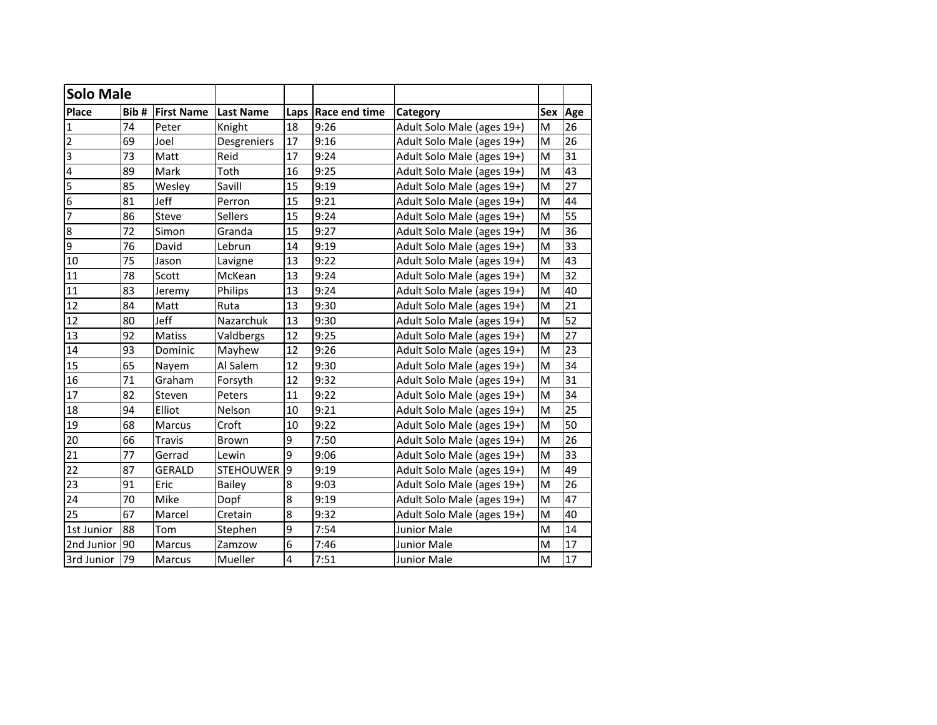| <b>Solo Male</b>        |      |                   |                  |                |                      |                            |     |                 |
|-------------------------|------|-------------------|------------------|----------------|----------------------|----------------------------|-----|-----------------|
| Place                   | Bib# | <b>First Name</b> | <b>Last Name</b> |                | Laps   Race end time | Category                   | Sex | Age             |
| $\mathbf{1}$            | 74   | Peter             | Knight           | 18             | 9:26                 | Adult Solo Male (ages 19+) | M   | 26              |
| $\overline{2}$          | 69   | Joel              | Desgreniers      | 17             | 9:16                 | Adult Solo Male (ages 19+) | M   | 26              |
| 3                       | 73   | Matt              | Reid             | 17             | 9:24                 | Adult Solo Male (ages 19+) | M   | 31              |
| 4                       | 89   | Mark              | Toth             | 16             | 9:25                 | Adult Solo Male (ages 19+) | M   | 43              |
| $\overline{\mathbf{5}}$ | 85   | Wesley            | Savill           | 15             | 9:19                 | Adult Solo Male (ages 19+) | M   | 27              |
| 6                       | 81   | Jeff              | Perron           | 15             | 9:21                 | Adult Solo Male (ages 19+) | M   | 44              |
| 7                       | 86   | Steve             | Sellers          | 15             | 9:24                 | Adult Solo Male (ages 19+) | M   | $\overline{55}$ |
| $\bf 8$                 | 72   | Simon             | Granda           | 15             | 9:27                 | Adult Solo Male (ages 19+) | M   | 36              |
| 9                       | 76   | David             | Lebrun           | 14             | 9:19                 | Adult Solo Male (ages 19+) | M   | 33              |
| 10                      | 75   | Jason             | Lavigne          | 13             | 9:22                 | Adult Solo Male (ages 19+) | M   | $\overline{43}$ |
| 11                      | 78   | Scott             | McKean           | 13             | 9:24                 | Adult Solo Male (ages 19+) | M   | 32              |
| 11                      | 83   | Jeremy            | Philips          | 13             | 9:24                 | Adult Solo Male (ages 19+) | M   | 40              |
| 12                      | 84   | Matt              | Ruta             | 13             | 9:30                 | Adult Solo Male (ages 19+) | M   | 21              |
| 12                      | 80   | Jeff              | Nazarchuk        | 13             | 9:30                 | Adult Solo Male (ages 19+) | M   | 52              |
| 13                      | 92   | Matiss            | Valdbergs        | 12             | 9:25                 | Adult Solo Male (ages 19+) | M   | 27              |
| 14                      | 93   | Dominic           | Mayhew           | 12             | 9:26                 | Adult Solo Male (ages 19+) | M   | 23              |
| 15                      | 65   | Nayem             | Al Salem         | 12             | 9:30                 | Adult Solo Male (ages 19+) | M   | 34              |
| 16                      | 71   | Graham            | Forsyth          | 12             | 9:32                 | Adult Solo Male (ages 19+) | M   | 31              |
| 17                      | 82   | Steven            | Peters           | 11             | 9:22                 | Adult Solo Male (ages 19+) | M   | 34              |
| 18                      | 94   | Elliot            | Nelson           | 10             | 9:21                 | Adult Solo Male (ages 19+) | M   | 25              |
| 19                      | 68   | Marcus            | Croft            | 10             | 9:22                 | Adult Solo Male (ages 19+) | M   | 50              |
| 20                      | 66   | <b>Travis</b>     | <b>Brown</b>     | 9              | 7:50                 | Adult Solo Male (ages 19+) | M   | 26              |
| 21                      | 77   | Gerrad            | Lewin            | 9              | 9:06                 | Adult Solo Male (ages 19+) | M   | 33              |
| 22                      | 87   | <b>GERALD</b>     | <b>STEHOUWER</b> | $\overline{9}$ | 9:19                 | Adult Solo Male (ages 19+) | M   | 49              |
| 23                      | 91   | Eric              | <b>Bailey</b>    | 8              | 9:03                 | Adult Solo Male (ages 19+) | M   | 26              |
| 24                      | 70   | Mike              | Dopf             | 8              | 9:19                 | Adult Solo Male (ages 19+) | M   | 47              |
| 25                      | 67   | Marcel            | Cretain          | 8              | 9:32                 | Adult Solo Male (ages 19+) | M   | 40              |
| 1st Junior              | 88   | Tom               | Stephen          | 9              | 7:54                 | Junior Male                | M   | 14              |
| 2nd Junior              | 90   | Marcus            | Zamzow           | 6              | 7:46                 | <b>Junior Male</b>         | M   | 17              |
| 3rd Junior              | 79   | Marcus            | Mueller          | 4              | 7:51                 | <b>Junior Male</b>         | M   | 17              |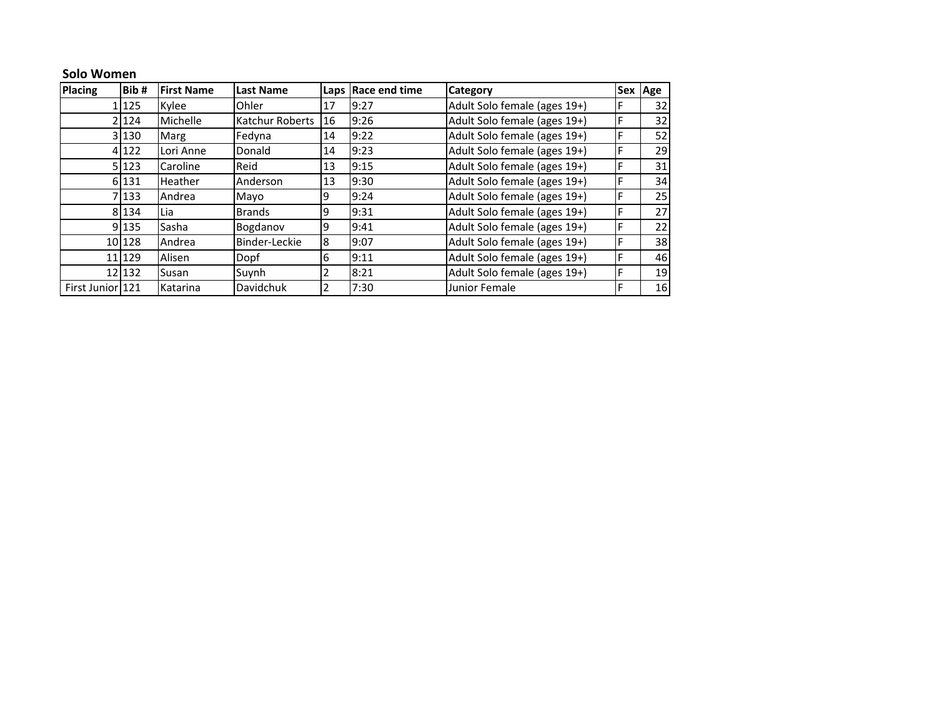## **Solo Women**

| <b>Placing</b>   | Bib#    | <b>First Name</b> | <b>Last Name</b>   |                | Laps Race end time | <b>Category</b>              |   | Sex Age         |
|------------------|---------|-------------------|--------------------|----------------|--------------------|------------------------------|---|-----------------|
|                  | 125     | Kylee             | Ohler              | 17             | 9:27               | Adult Solo female (ages 19+) |   | 32I             |
|                  | 21124   | Michelle          | Katchur Roberts 16 |                | 9:26               | Adult Solo female (ages 19+) | F | 32              |
|                  | 3 130   | Marg              | Fedyna             | 14             | 9:22               | Adult Solo female (ages 19+) | F | 52              |
|                  | 4 1 2 2 | Lori Anne         | Donald             | 14             | 9:23               | Adult Solo female (ages 19+) | F | 29I             |
|                  | 5 123   | Caroline          | Reid               | 13             | 9:15               | Adult Solo female (ages 19+) |   | 31              |
|                  | 6 131   | Heather           | Anderson           | 13             | 9:30               | Adult Solo female (ages 19+) | F | 34 <sub>l</sub> |
|                  | 7133    | Andrea            | Mayo               | 9              | 9:24               | Adult Solo female (ages 19+) | F | 25              |
|                  | 8 1 3 4 | Lia               | <b>Brands</b>      | 9              | 9:31               | Adult Solo female (ages 19+) |   | 27 <sup>1</sup> |
|                  | 9 1 3 5 | Sasha             | Bogdanov           | 9              | 9:41               | Adult Solo female (ages 19+) | F | 22 <sub>l</sub> |
|                  | 10 128  | Andrea            | Binder-Leckie      | 8              | 9:07               | Adult Solo female (ages 19+) | F | 38              |
|                  | 11 129  | Alisen            | Dopf               | 6              | 9:11               | Adult Solo female (ages 19+) | F | 46              |
|                  | 12 132  | Susan             | Suynh              | $\overline{2}$ | 8:21               | Adult Solo female (ages 19+) | F | 19              |
| First Junior 121 |         | Katarina          | Davidchuk          | '2             | 7:30               | Junior Female                |   | 16 <sup>l</sup> |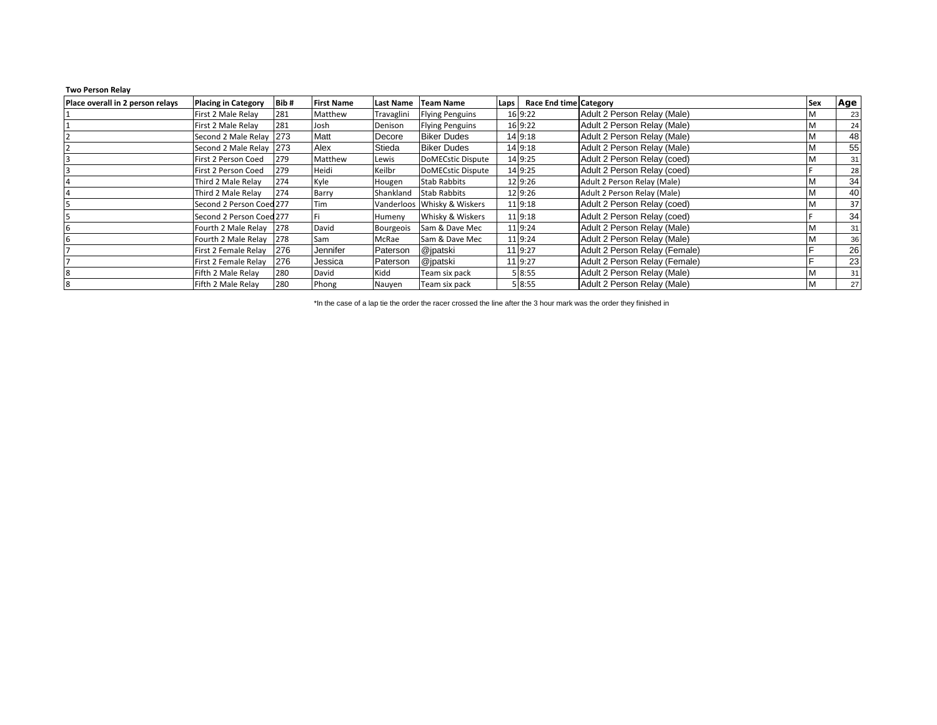## **Two Person Relay**

| Place overall in 2 person relays | <b>Placing in Category</b> | Bib# | First Name | Last Name        | Team Name                   | Laps | <b>Race End time Category</b> |                               | <b>Sex</b> | Age |
|----------------------------------|----------------------------|------|------------|------------------|-----------------------------|------|-------------------------------|-------------------------------|------------|-----|
|                                  | First 2 Male Relay         | 281  | Matthew    | Travaglini       | <b>Flying Penguins</b>      |      | 16 9:22                       | Adult 2 Person Relay (Male)   | м          | 23  |
|                                  | First 2 Male Relay         | 281  | Josh       | Denison          | <b>Flying Penguins</b>      |      | 16 9:22                       | Adult 2 Person Relay (Male)   | M          | 24  |
|                                  | Second 2 Male Relay 273    |      | Matt       | Decore           | <b>Biker Dudes</b>          |      | 14 9:18                       | Adult 2 Person Relay (Male)   | M          | 48  |
|                                  | Second 2 Male Relay 273    |      | Alex       | Stieda           | <b>Biker Dudes</b>          |      | 14 9:18                       | Adult 2 Person Relay (Male)   | M          | 55  |
|                                  | First 2 Person Coed        | 279  | Matthew    | Lewis            | <b>DoMECstic Dispute</b>    |      | 14 9:25                       | Adult 2 Person Relay (coed)   | M          | 31  |
|                                  | First 2 Person Coed        | 279  | Heidi      | Keilbr           | DoMECstic Dispute           |      | 14 9:25                       | Adult 2 Person Relay (coed)   |            | 28  |
|                                  | Third 2 Male Relay         | 274  | Kyle       | Hougen           | <b>Stab Rabbits</b>         |      | 12 9:26                       | Adult 2 Person Relay (Male)   | М          | 34  |
|                                  | Third 2 Male Relay         | 274  | Barry      | Shankland        | <b>Stab Rabbits</b>         |      | 12 9:26                       | Adult 2 Person Relay (Male)   | M          | 40  |
|                                  | Second 2 Person Coed 277   |      | Tim        |                  | Vanderloos Whisky & Wiskers |      | 11 9:18                       | Adult 2 Person Relay (coed)   | M          | 37  |
|                                  | Second 2 Person Coed 277   |      |            | Humeny           | Whisky & Wiskers            |      | 11 9:18                       | Adult 2 Person Relay (coed)   |            | 34  |
|                                  | Fourth 2 Male Relay 278    |      | David      | <b>Bourgeois</b> | Sam & Dave Mec              |      | 11 9:24                       | Adult 2 Person Relay (Male)   | M          | 31  |
| 6                                | Fourth 2 Male Relay 278    |      | Sam        | McRae            | Sam & Dave Mec              |      | 11 9:24                       | Adult 2 Person Relay (Male)   | M          | 36  |
|                                  | First 2 Female Relay       | 276  | Jennifer   | Paterson         | @jpatski                    |      | 11 9:27                       | Adult 2 Person Relay (Female) |            | 26  |
|                                  | First 2 Female Relay       | 276  | Jessica    | Paterson         | @jpatski                    |      | 11 9:27                       | Adult 2 Person Relay (Female) |            | 23  |
| 8                                | Fifth 2 Male Relay         | 280  | David      | Kidd             | Team six pack               |      | 5 8:55                        | Adult 2 Person Relay (Male)   | M          | 31  |
| 8                                | Fifth 2 Male Relay         | 280  | Phong      | Nauyen           | Team six pack               |      | 5 8:55                        | Adult 2 Person Relay (Male)   | M          | 27  |

\*In the case of a lap tie the order the racer crossed the line after the 3 hour mark was the order they finished in